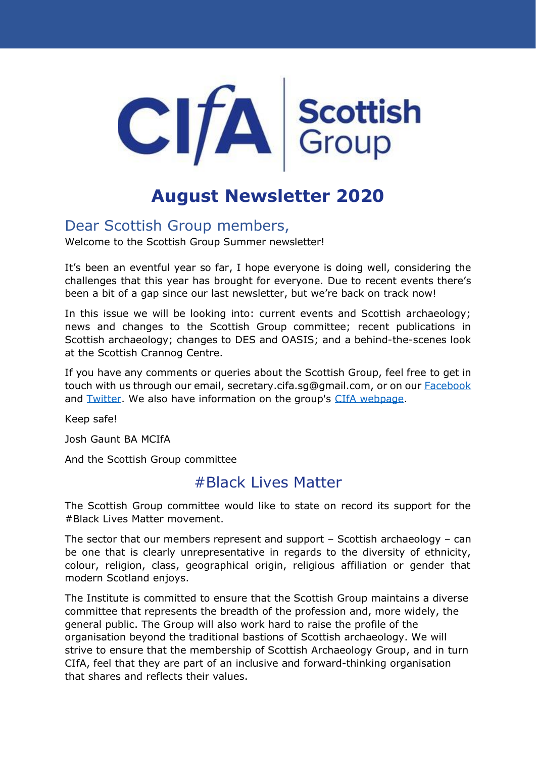

# **August Newsletter 2020**

# Dear Scottish Group members,

Welcome to the Scottish Group Summer newsletter!

It's been an eventful year so far, I hope everyone is doing well, considering the challenges that this year has brought for everyone. Due to recent events there's been a bit of a gap since our last newsletter, but we're back on track now!

In this issue we will be looking into: current events and Scottish archaeology; news and changes to the Scottish Group committee; recent publications in Scottish archaeology; changes to DES and OASIS; and a behind-the-scenes look at the Scottish Crannog Centre.

If you have any comments or queries about the Scottish Group, feel free to get in touch with us through our email, secretary.cifa.sg@gmail.com, or on our **Facebook** and [Twitter.](https://twitter.com/CIfA_Scottish) We also have information on the group's [CIfA webpage.](https://www.archaeologists.net/groups/scottish)

Keep safe!

Josh Gaunt BA MCIfA

And the Scottish Group committee

# #Black Lives Matter

The Scottish Group committee would like to state on record its support for the #Black Lives Matter movement.

The sector that our members represent and support – Scottish archaeology – can be one that is clearly unrepresentative in regards to the diversity of ethnicity, colour, religion, class, geographical origin, religious affiliation or gender that modern Scotland enjoys.

The Institute is committed to ensure that the Scottish Group maintains a diverse committee that represents the breadth of the profession and, more widely, the general public. The Group will also work hard to raise the profile of the organisation beyond the traditional bastions of Scottish archaeology. We will strive to ensure that the membership of Scottish Archaeology Group, and in turn CIfA, feel that they are part of an inclusive and forward-thinking organisation that shares and reflects their values.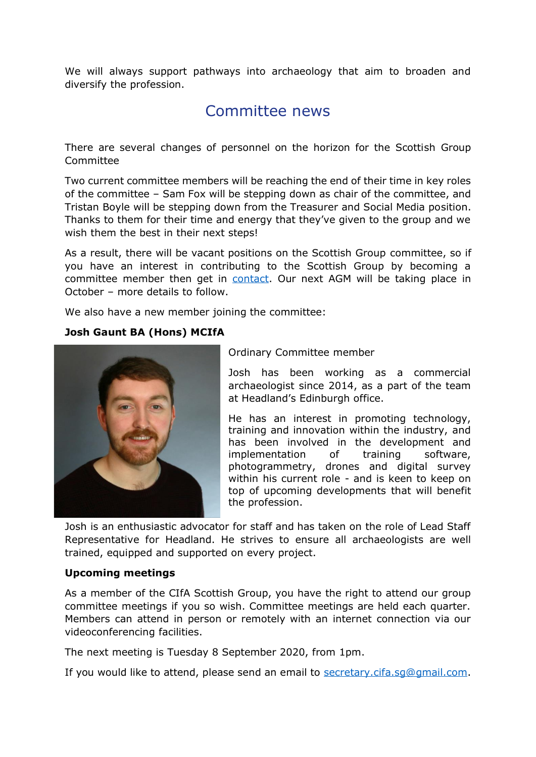We will always support pathways into archaeology that aim to broaden and diversify the profession.

# Committee news

There are several changes of personnel on the horizon for the Scottish Group Committee

Two current committee members will be reaching the end of their time in key roles of the committee – Sam Fox will be stepping down as chair of the committee, and Tristan Boyle will be stepping down from the Treasurer and Social Media position. Thanks to them for their time and energy that they've given to the group and we wish them the best in their next steps!

As a result, there will be vacant positions on the Scottish Group committee, so if you have an interest in contributing to the Scottish Group by becoming a committee member then get in [contact.](mailto:secretary.cifa.sg@gmail.com) Our next AGM will be taking place in October – more details to follow.

We also have a new member joining the committee:

## **Josh Gaunt BA (Hons) MCIfA**



Ordinary Committee member

Josh has been working as a commercial archaeologist since 2014, as a part of the team at Headland's Edinburgh office.

He has an interest in promoting technology, training and innovation within the industry, and has been involved in the development and implementation of training software, photogrammetry, drones and digital survey within his current role - and is keen to keep on top of upcoming developments that will benefit the profession.

Josh is an enthusiastic advocator for staff and has taken on the role of Lead Staff Representative for Headland. He strives to ensure all archaeologists are well trained, equipped and supported on every project.

### **Upcoming meetings**

As a member of the CIfA Scottish Group, you have the right to attend our group committee meetings if you so wish. Committee meetings are held each quarter. Members can attend in person or remotely with an internet connection via our videoconferencing facilities.

The next meeting is Tuesday 8 September 2020, from 1pm.

If you would like to attend, please send an email to [secretary.cifa.sg@gmail.com.](mailto:secretary.cifa.sg@gmail.com)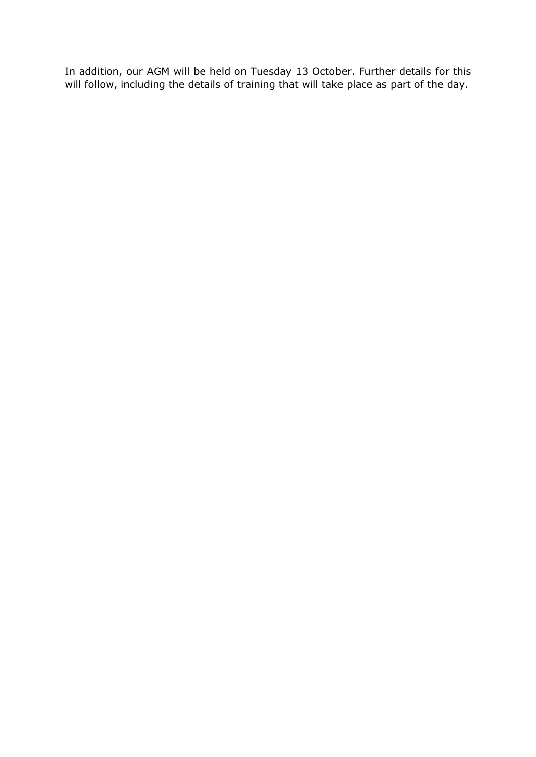In addition, our AGM will be held on Tuesday 13 October. Further details for this will follow, including the details of training that will take place as part of the day.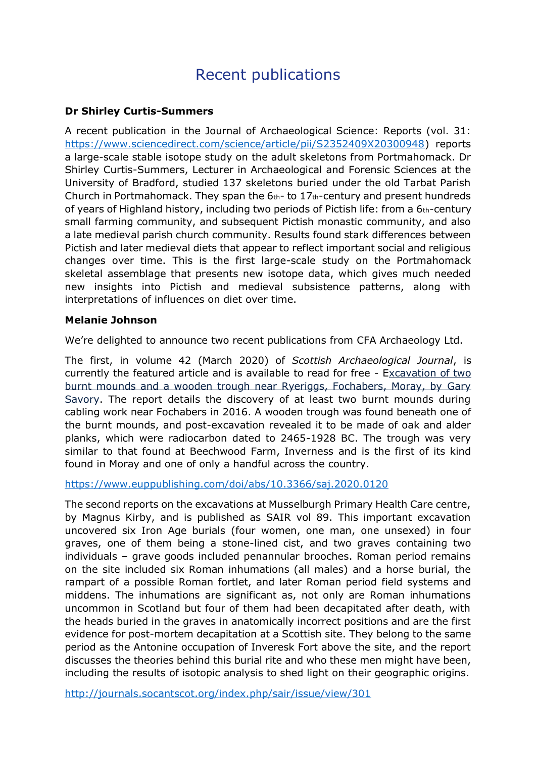# Recent publications

## **Dr Shirley Curtis-Summers**

A recent publication in the Journal of Archaeological Science: Reports (vol. 31: [https://www.sciencedirect.com/science/article/pii/S2352409X20300948\)](https://www.sciencedirect.com/science/article/pii/S2352409X20300948) reports a large-scale stable isotope study on the adult skeletons from Portmahomack. Dr Shirley Curtis-Summers, Lecturer in Archaeological and Forensic Sciences at the University of Bradford, studied 137 skeletons buried under the old Tarbat Parish Church in Portmahomack. They span the  $6<sub>th</sub>$ - to  $17<sub>th</sub>$ -century and present hundreds of years of Highland history, including two periods of Pictish life: from a 6th-century small farming community, and subsequent Pictish monastic community, and also a late medieval parish church community. Results found stark differences between Pictish and later medieval diets that appear to reflect important social and religious changes over time. This is the first large-scale study on the Portmahomack skeletal assemblage that presents new isotope data, which gives much needed new insights into Pictish and medieval subsistence patterns, along with interpretations of influences on diet over time.

#### **Melanie Johnson**

We're delighted to announce two recent publications from CFA Archaeology Ltd.

The first, in volume 42 (March 2020) of *Scottish Archaeological Journal*, is currently the featured article and is available to read for free - [Excavation of two](https://www.euppublishing.com/action/clickThrough?id=1041&url=%2Fdoi%2Fabs%2F10.3366%2Fsaj.2020.0120&loc=%2Floi%2Fsaj&pubId=40000040&placeholderId=1029&productId=1033)  [burnt mounds and a wooden trough near Ryeriggs, Fochabers, Moray, by Gary](https://www.euppublishing.com/action/clickThrough?id=1041&url=%2Fdoi%2Fabs%2F10.3366%2Fsaj.2020.0120&loc=%2Floi%2Fsaj&pubId=40000040&placeholderId=1029&productId=1033)  [Savory.](https://www.euppublishing.com/action/clickThrough?id=1041&url=%2Fdoi%2Fabs%2F10.3366%2Fsaj.2020.0120&loc=%2Floi%2Fsaj&pubId=40000040&placeholderId=1029&productId=1033) The report details the discovery of at least two burnt mounds during cabling work near Fochabers in 2016. A wooden trough was found beneath one of the burnt mounds, and post-excavation revealed it to be made of oak and alder planks, which were radiocarbon dated to 2465-1928 BC. The trough was very similar to that found at Beechwood Farm, Inverness and is the first of its kind found in Moray and one of only a handful across the country.

<https://www.euppublishing.com/doi/abs/10.3366/saj.2020.0120>

The second reports on the excavations at Musselburgh Primary Health Care centre, by Magnus Kirby, and is published as SAIR vol 89. This important excavation uncovered six Iron Age burials (four women, one man, one unsexed) in four graves, one of them being a stone-lined cist, and two graves containing two individuals – grave goods included penannular brooches. Roman period remains on the site included six Roman inhumations (all males) and a horse burial, the rampart of a possible Roman fortlet, and later Roman period field systems and middens. The inhumations are significant as, not only are Roman inhumations uncommon in Scotland but four of them had been decapitated after death, with the heads buried in the graves in anatomically incorrect positions and are the first evidence for post-mortem decapitation at a Scottish site. They belong to the same period as the Antonine occupation of Inveresk Fort above the site, and the report discusses the theories behind this burial rite and who these men might have been, including the results of isotopic analysis to shed light on their geographic origins.

<http://journals.socantscot.org/index.php/sair/issue/view/301>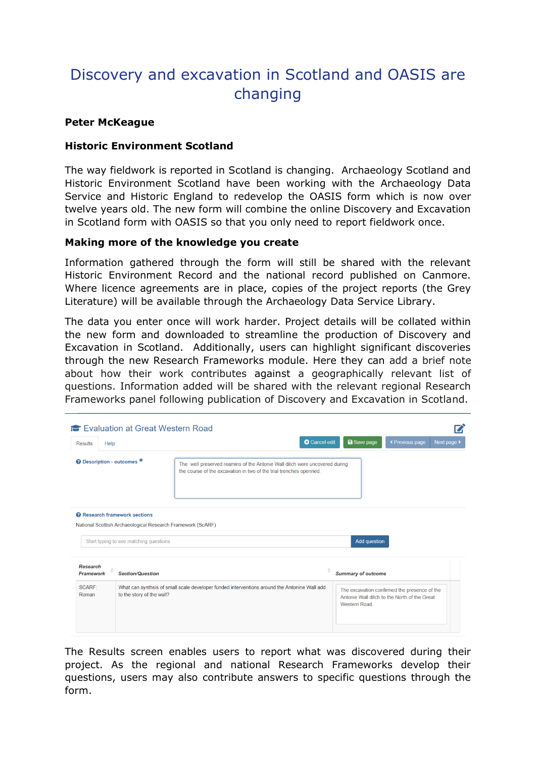# Discovery and excavation in Scotland and OASIS are changing

#### **Peter McKeague**

### **Historic Environment Scotland**

The way fieldwork is reported in Scotland is changing. Archaeology Scotland and Historic Environment Scotland have been working with the Archaeology Data Service and Historic England to redevelop the OASIS form which is now over twelve years old. The new form will combine the online Discovery and Excavation in Scotland form with OASIS so that you only need to report fieldwork once.

#### **Making more of the knowledge you create**

Information gathered through the form will still be shared with the relevant Historic Environment Record and the national record published on Canmore. Where licence agreements are in place, copies of the project reports (the Grey Literature) will be available through the Archaeology Data Service Library.

The data you enter once will work harder. Project details will be collated within the new form and downloaded to streamline the production of Discovery and Excavation in Scotland. Additionally, users can highlight significant discoveries through the new Research Frameworks module. Here they can add a brief note about how their work contributes against a geographically relevant list of questions. Information added will be shared with the relevant regional Research Frameworks panel following publication of Discovery and Excavation in Scotland.

| <b>Results</b><br>Help                   |                                        | <b>O</b> Cancel edit                                                                                                                             | <b>a</b> Save page                                                                                           | « Previous page<br>Next page > |
|------------------------------------------|----------------------------------------|--------------------------------------------------------------------------------------------------------------------------------------------------|--------------------------------------------------------------------------------------------------------------|--------------------------------|
| © Description - outcomes *               |                                        | The well preserved reamins of the Antonie Wall ditch were uncovered during<br>the course of the excavation in two of the trial trenches openned. |                                                                                                              |                                |
| <sup>2</sup> Research framework sections | Start typing to see matching questions | National Scottish Archaeological Research Framework (ScARF)                                                                                      | <b>Add question</b>                                                                                          |                                |
| <b>Research</b><br><b>Framework</b>      | <b>Section/Question</b>                |                                                                                                                                                  | <b>Summary of outcome</b>                                                                                    |                                |
|                                          | to the story of the wall?              | What can synthsis of small scale developer funded interventions around the Antonine Wall add                                                     | The excavation confirmed the presence of the<br>Antonie Wall ditch to the North of the Great<br>Western Road |                                |

The Results screen enables users to report what was discovered during their project. As the regional and national Research Frameworks develop their questions, users may also contribute answers to specific questions through the form.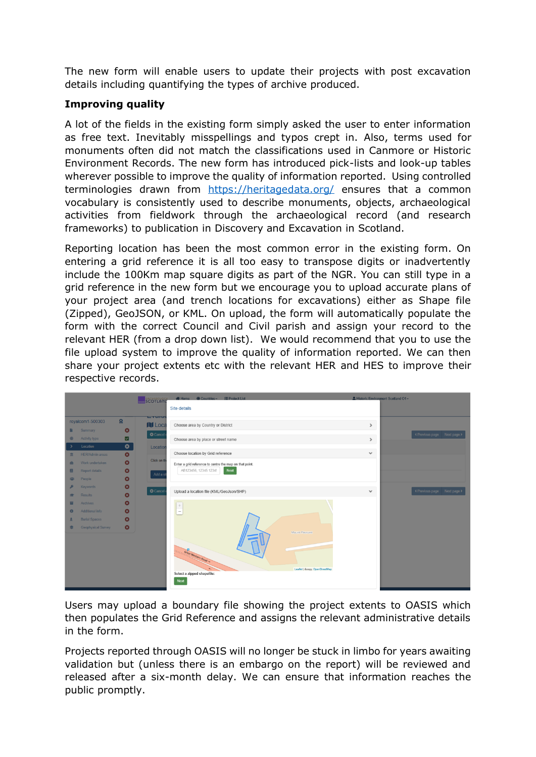The new form will enable users to update their projects with post excavation details including quantifying the types of archive produced.

## **Improving quality**

A lot of the fields in the existing form simply asked the user to enter information as free text. Inevitably misspellings and typos crept in. Also, terms used for monuments often did not match the classifications used in Canmore or Historic Environment Records. The new form has introduced pick-lists and look-up tables wherever possible to improve the quality of information reported. Using controlled terminologies drawn from <https://heritagedata.org/> ensures that a common vocabulary is consistently used to describe monuments, objects, archaeological activities from fieldwork through the archaeological record (and research frameworks) to publication in Discovery and Excavation in Scotland.

Reporting location has been the most common error in the existing form. On entering a grid reference it is all too easy to transpose digits or inadvertently include the 100Km map square digits as part of the NGR. You can still type in a grid reference in the new form but we encourage you to upload accurate plans of your project area (and trench locations for excavations) either as Shape file (Zipped), GeoJSON, or KML. On upload, the form will automatically populate the form with the correct Council and Civil parish and assign your record to the relevant HER (from a drop down list). We would recommend that you to use the file upload system to improve the quality of information reported. We can then share your project extents etc with the relevant HER and HES to improve their respective records.

|                     |                                   |                        | <b>SCOTLAND</b>             |                                                         | & Historic Environment Scotland O1 - |                             |
|---------------------|-----------------------------------|------------------------|-----------------------------|---------------------------------------------------------|--------------------------------------|-----------------------------|
|                     |                                   |                        |                             | Site details                                            |                                      |                             |
|                     | royalcom1-500303                  | $\Omega$               | $T$ varue<br><b>IN Loca</b> | Choose area by Country or District                      | $\rightarrow$                        |                             |
| n                   | Summary                           | $\bullet$              | <b>O</b> Cancel             |                                                         |                                      | « Previous page Next page > |
| ⊕<br>$\rightarrow$  | Activity type<br>Location         | ø<br>$\bullet$         | Location                    | Choose area by place or street name                     | $\rightarrow$                        |                             |
| 血                   | <b>HER/Admin areas</b>            | $\bullet$              |                             | Choose location by Grid reference                       | $\mathbf{v}$                         |                             |
| 喦                   | Work undertaken                   | $\bullet$              | Click on th                 | Enter a grid reference to centre the map on that point. |                                      |                             |
| e.                  | <b>Report details</b>             | $\bullet$              | Add a s                     | AB123456, 12345 12345<br>Next                           |                                      |                             |
| 283                 | People                            | $\bullet$              |                             |                                                         |                                      |                             |
| ₽<br>$\overline{a}$ | <b>Keywords</b><br><b>Results</b> | $\bullet$<br>$\bullet$ | <b>O</b> Cancel             | Upload a location file (KML/GeoJson/SHP)                | $\checkmark$                         | « Previous page Next page > |
| ≖                   | Archives                          | $\bullet$              |                             |                                                         |                                      |                             |
| $\bullet$           | Additional info                   | $\bullet$              |                             | $\Bigg  \frac{+}{-}$                                    |                                      |                             |
| $\mathbf{A}$        | <b>Burial Spaces</b>              | $\boldsymbol{\Omega}$  |                             |                                                         |                                      |                             |
| き                   | <b>Geophysical Survey</b>         | $\bullet$              |                             | Mount-Pleasant                                          |                                      |                             |
|                     |                                   |                        |                             |                                                         |                                      |                             |
|                     |                                   |                        |                             |                                                         |                                      |                             |
|                     |                                   |                        |                             | Great Western Road                                      |                                      |                             |
|                     |                                   |                        |                             | Leaflet   © OpenStreetMap<br>Select a zipped shapefile: |                                      |                             |
|                     |                                   |                        |                             | Next                                                    |                                      |                             |
|                     |                                   |                        |                             |                                                         |                                      |                             |

Users may upload a boundary file showing the project extents to OASIS which then populates the Grid Reference and assigns the relevant administrative details in the form.

Projects reported through OASIS will no longer be stuck in limbo for years awaiting validation but (unless there is an embargo on the report) will be reviewed and released after a six-month delay. We can ensure that information reaches the public promptly.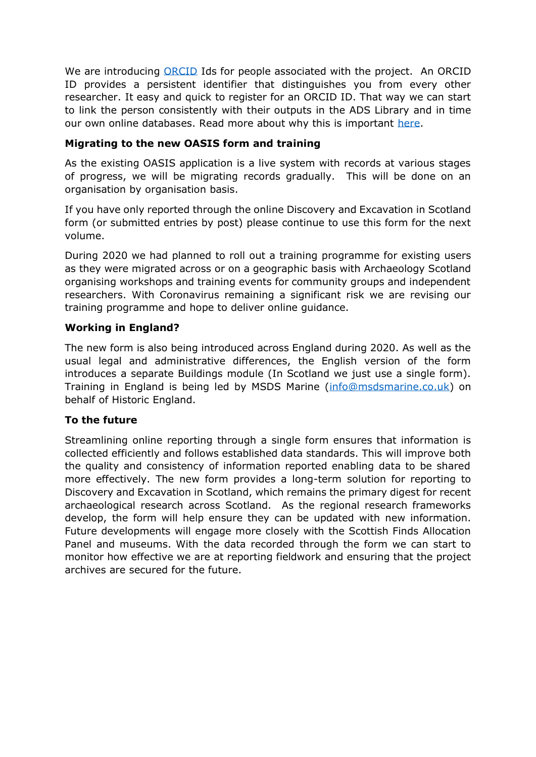We are introducing [ORCID](https://orcid.org/) Ids for people associated with the project. An ORCID ID provides a persistent identifier that distinguishes you from every other researcher. It easy and quick to register for an ORCID ID. That way we can start to link the person consistently with their outputs in the ADS Library and in time our own online databases. Read more about why this is important [here.](https://archaeologydataservice.ac.uk/blog/2014/07/will-the-real-julian-richards-please-stand-up/)

## **Migrating to the new OASIS form and training**

As the existing OASIS application is a live system with records at various stages of progress, we will be migrating records gradually. This will be done on an organisation by organisation basis.

If you have only reported through the online Discovery and Excavation in Scotland form (or submitted entries by post) please continue to use this form for the next volume.

During 2020 we had planned to roll out a training programme for existing users as they were migrated across or on a geographic basis with Archaeology Scotland organising workshops and training events for community groups and independent researchers. With Coronavirus remaining a significant risk we are revising our training programme and hope to deliver online guidance.

## **Working in England?**

The new form is also being introduced across England during 2020. As well as the usual legal and administrative differences, the English version of the form introduces a separate Buildings module (In Scotland we just use a single form). Training in England is being led by MSDS Marine [\(info@msdsmarine.co.uk\)](mailto:info@msdsmarine.co.uk) on behalf of Historic England.

### **To the future**

Streamlining online reporting through a single form ensures that information is collected efficiently and follows established data standards. This will improve both the quality and consistency of information reported enabling data to be shared more effectively. The new form provides a long-term solution for reporting to Discovery and Excavation in Scotland, which remains the primary digest for recent archaeological research across Scotland. As the regional research frameworks develop, the form will help ensure they can be updated with new information. Future developments will engage more closely with the Scottish Finds Allocation Panel and museums. With the data recorded through the form we can start to monitor how effective we are at reporting fieldwork and ensuring that the project archives are secured for the future.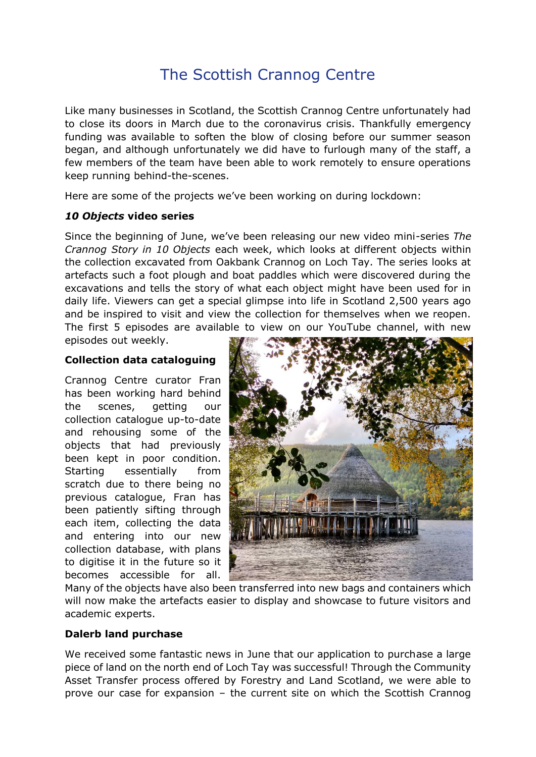# The Scottish Crannog Centre

Like many businesses in Scotland, the Scottish Crannog Centre unfortunately had to close its doors in March due to the coronavirus crisis. Thankfully emergency funding was available to soften the blow of closing before our summer season began, and although unfortunately we did have to furlough many of the staff, a few members of the team have been able to work remotely to ensure operations keep running behind-the-scenes.

Here are some of the projects we've been working on during lockdown:

### *10 Objects* **video series**

Since the beginning of June, we've been releasing our new video mini-series *The Crannog Story in 10 Objects* each week, which looks at different objects within the collection excavated from Oakbank Crannog on Loch Tay. The series looks at artefacts such a foot plough and boat paddles which were discovered during the excavations and tells the story of what each object might have been used for in daily life. Viewers can get a special glimpse into life in Scotland 2,500 years ago and be inspired to visit and view the collection for themselves when we reopen. The first 5 episodes are available to view on our YouTube channel, with new

episodes out weekly.

#### **Collection data cataloguing**

Crannog Centre curator Fran has been working hard behind the scenes, getting our collection catalogue up-to-date and rehousing some of the objects that had previously been kept in poor condition. Starting essentially from scratch due to there being no previous catalogue, Fran has been patiently sifting through each item, collecting the data and entering into our new collection database, with plans to digitise it in the future so it becomes accessible for all.



Many of the objects have also been transferred into new bags and containers which will now make the artefacts easier to display and showcase to future visitors and academic experts.

### **Dalerb land purchase**

We received some fantastic news in June that our application to purchase a large piece of land on the north end of Loch Tay was successful! Through the Community Asset Transfer process offered by Forestry and Land Scotland, we were able to prove our case for expansion – the current site on which the Scottish Crannog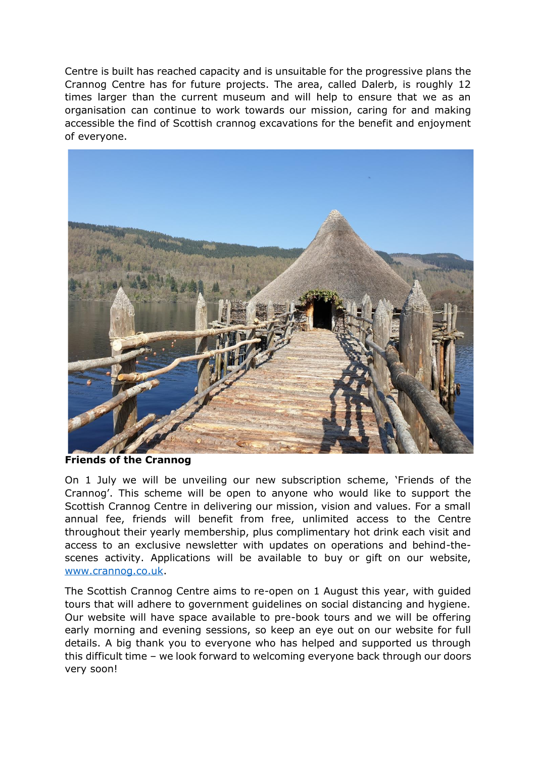Centre is built has reached capacity and is unsuitable for the progressive plans the Crannog Centre has for future projects. The area, called Dalerb, is roughly 12 times larger than the current museum and will help to ensure that we as an organisation can continue to work towards our mission, caring for and making accessible the find of Scottish crannog excavations for the benefit and enjoyment of everyone.



**Friends of the Crannog**

On 1 July we will be unveiling our new subscription scheme, 'Friends of the Crannog'. This scheme will be open to anyone who would like to support the Scottish Crannog Centre in delivering our mission, vision and values. For a small annual fee, friends will benefit from free, unlimited access to the Centre throughout their yearly membership, plus complimentary hot drink each visit and access to an exclusive newsletter with updates on operations and behind-thescenes activity. Applications will be available to buy or gift on our website, [www.crannog.co.uk.](http://www.crannog.co.uk/)

The Scottish Crannog Centre aims to re-open on 1 August this year, with guided tours that will adhere to government guidelines on social distancing and hygiene. Our website will have space available to pre-book tours and we will be offering early morning and evening sessions, so keep an eye out on our website for full details. A big thank you to everyone who has helped and supported us through this difficult time – we look forward to welcoming everyone back through our doors very soon!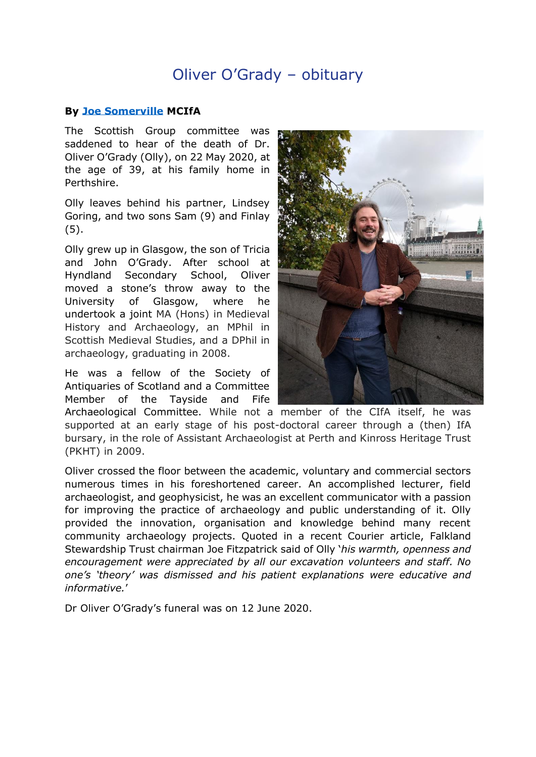# Oliver O'Grady – obituary

#### **By [Joe Somerville](mailto:jsomerville@rsk.co.uk) MCIfA**

The Scottish Group committee was saddened to hear of the death of Dr. Oliver O'Grady (Olly), on 22 May 2020, at the age of 39, at his family home in Perthshire.

Olly leaves behind his partner, Lindsey Goring, and two sons Sam (9) and Finlay (5).

Olly grew up in Glasgow, the son of Tricia and John O'Grady. After school at Hyndland Secondary School, Oliver moved a stone's throw away to the University of Glasgow, where he undertook a joint MA (Hons) in Medieval History and Archaeology, an MPhil in Scottish Medieval Studies, and a DPhil in archaeology, graduating in 2008.

He was a fellow of the Society of Antiquaries of Scotland and a Committee Member of the Tayside and Fife



Archaeological Committee. While not a member of the CIfA itself, he was supported at an early stage of his post-doctoral career through a (then) IfA bursary, in the role of Assistant Archaeologist at Perth and Kinross Heritage Trust (PKHT) in 2009.

Oliver crossed the floor between the academic, voluntary and commercial sectors numerous times in his foreshortened career. An accomplished lecturer, field archaeologist, and geophysicist, he was an excellent communicator with a passion for improving the practice of archaeology and public understanding of it. Olly provided the innovation, organisation and knowledge behind many recent community archaeology projects. Quoted in a recent Courier article, Falkland Stewardship Trust chairman Joe Fitzpatrick said of Olly '*his warmth, openness and encouragement were appreciated by all our excavation volunteers and staff. No one's 'theory' was dismissed and his patient explanations were educative and informative.*'

Dr Oliver O'Grady's funeral was on 12 June 2020.